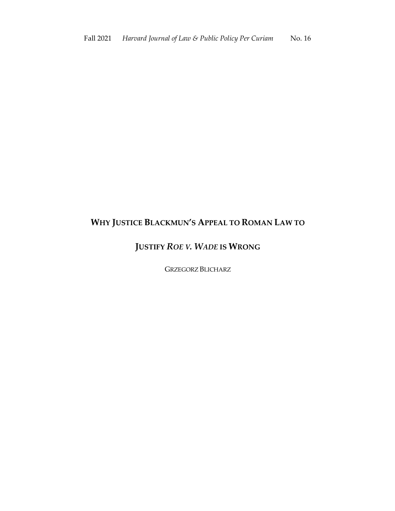# **WHY JUSTICE BLACKMUN'S APPEAL TO ROMAN LAW TO**

# **JUSTIFY** *ROE V. WADE* **IS WRONG**

GRZEGORZ BLICHARZ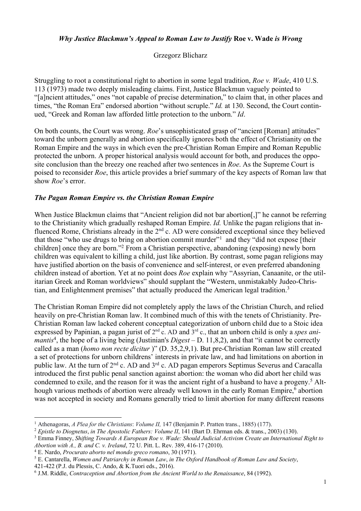#### *Why Justice Blackmun's Appeal to Roman Law to Justify* **Roe v. Wade** *is Wrong*

#### Grzegorz Blicharz

Struggling to root a constitutional right to abortion in some legal tradition, *Roe v. Wade*, 410 U.S. 113 (1973) made two deeply misleading claims. First, Justice Blackmun vaguely pointed to "[a]ncient attitudes," ones "not capable of precise determination," to claim that, in other places and times, "the Roman Era" endorsed abortion "without scruple." *Id.* at 130. Second, the Court continued, "Greek and Roman law afforded little protection to the unborn." *Id*.

On both counts, the Court was wrong. *Roe*'s unsophisticated grasp of "ancient [Roman] attitudes" toward the unborn generally and abortion specifically ignores both the effect of Christianity on the Roman Empire and the ways in which even the pre-Christian Roman Empire and Roman Republic protected the unborn. A proper historical analysis would account for both, and produces the opposite conclusion than the breezy one reached after two sentences in *Roe*. As the Supreme Court is poised to reconsider *Roe*, this article provides a brief summary of the key aspects of Roman law that show *Roe*'s error.

#### *The Pagan Roman Empire vs. the Christian Roman Empire*

When Justice Blackmun claims that "Ancient religion did not bar abortion.]" he cannot be referring to the Christianity which gradually reshaped Roman Empire. *Id.* Unlike the pagan religions that influenced Rome, Christians already in the 2<sup>nd</sup> c. AD were considered exceptional since they believed that those "who use drugs to bring on abortion commit murder"1 and they "did not expose [their children] once they are born."2 From a Christian perspective, abandoning (exposing) newly born children was equivalent to killing a child, just like abortion. By contrast, some pagan religions may have justified abortion on the basis of convenience and self-interest, or even preferred abandoning children instead of abortion. Yet at no point does *Roe* explain why "Assyrian, Canaanite, or the utilitarian Greek and Roman worldviews" should supplant the "Western, unmistakably Judeo-Christian, and Enlightenment premises" that actually produced the American legal tradition.<sup>3</sup>

The Christian Roman Empire did not completely apply the laws of the Christian Church, and relied heavily on pre-Christian Roman law. It combined much of this with the tenets of Christianity. Pre-Christian Roman law lacked coherent conceptual categorization of unborn child due to a Stoic idea expressed by Papinian, a pagan jurist of 2nd c. AD and 3rd c., that an unborn child is only a *spes animantis*<sup>4</sup> , the hope of a living being (Justinian's *Digest* – D. 11,8,2), and that "it cannot be correctly called as a man (*homo non recte dicitur* )" (D. 35,2,9,1). But pre-Christian Roman law still created a set of protections for unborn childrens' interests in private law, and had limitations on abortion in public law. At the turn of 2<sup>nd</sup> c. AD and 3<sup>rd</sup> c. AD pagan emperors Septimus Severus and Caracalla introduced the first public penal sanction against abortion: the woman who did abort her child was condemned to exile, and the reason for it was the ancient right of a husband to have a progeny. <sup>5</sup> Although various methods of abortion were already well known in the early Roman Empire,<sup>6</sup> abortion was not accepted in society and Romans generally tried to limit abortion for many different reasons

<sup>1</sup> Athenagoras, *A Plea for the Christians*: *Volume II,* 147 (Benjamin P. Pratten trans., 1885) (177).

<sup>2</sup> *Epistle to Diognetus*, *in The Apostolic Fathers: Volume II*, 141 (Bart D. Ehrman eds. & trans., 2003) (130).

<sup>3</sup> Emma Finney, *Shifting Towards A European Roe v. Wade: Should Judicial Activism Create an International Right to Abortion with A., B. and C. v. Ireland*, 72 U. Pitt. L. Rev. 389, 416-17 (2010).

<sup>4</sup> E. Nardo, *Procurato aborto nel mondo greco romano*, 30 (1971).

<sup>5</sup> E. Cantarella, *Women and Patriarchy in Roman Law*, *in The Oxford Handbook of Roman Law and Society*,

<sup>421-422</sup> (P.J. du Plessis, C. Ando, & K.Tuori eds., 2016).

<sup>6</sup> J.M. Riddle, *Contraception and Abortion from the Ancient World to the Renaissance*, 84 (1992).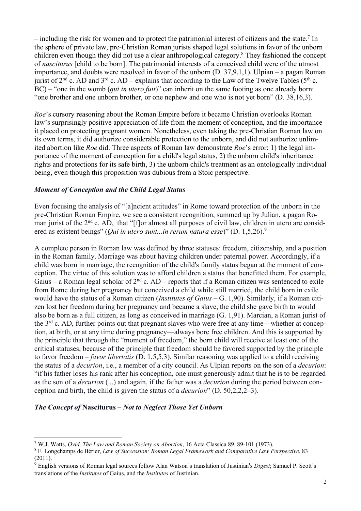– including the risk for women and to protect the patrimonial interest of citizens and the state. <sup>7</sup> In the sphere of private law, pre-Christian Roman jurists shaped legal solutions in favor of the unborn children even though they did not use a clear anthropological category.8 They fashioned the concept of *nasciturus* [child to be born]. The patrimonial interests of a conceived child were of the utmost importance, and doubts were resolved in favor of the unborn (D. 37,9,1,1). Ulpian – a pagan Roman jurist of  $2<sup>nd</sup>$  c. AD and  $3<sup>rd</sup>$  c. AD – explains that according to the Law of the Twelve Tables ( $5<sup>th</sup>$  c. BC) – "one in the womb (*qui in utero fuit*)" can inherit on the same footing as one already born: "one brother and one unborn brother, or one nephew and one who is not yet born" (D. 38,16,3).

*Roe*'s cursory reasoning about the Roman Empire before it became Christian overlooks Roman law's surprisingly positive appreciation of life from the moment of conception, and the importance it placed on protecting pregnant women. Nonetheless, even taking the pre-Christian Roman law on its own terms, it did authorize considerable protection to the unborn, and did not authorize unlimited abortion like *Roe* did. Three aspects of Roman law demonstrate *Roe*'s error: 1) the legal importance of the moment of conception for a child's legal status, 2) the unborn child's inheritance rights and protections for its safe birth, 3) the unborn child's treatment as an ontologically individual being, even though this proposition was dubious from a Stoic perspective.

## *Moment of Conception and the Child Legal Status*

Even focusing the analysis of "[a]ncient attitudes" in Rome toward protection of the unborn in the pre-Christian Roman Empire, we see a consistent recognition, summed up by Julian, a pagan Roman jurist of the  $2<sup>nd</sup>$  c. AD, that "[f]or almost all purposes of civil law, children in utero are considered as existent beings" (*Qui in utero sunt...in rerum natura esse*)" (D. 1,5,26).9

A complete person in Roman law was defined by three statuses: freedom, citizenship, and a position in the Roman family. Marriage was about having children under paternal power. Accordingly, if a child was born in marriage, the recognition of the child's family status began at the moment of conception. The virtue of this solution was to afford children a status that benefitted them. For example, Gaius – a Roman legal scholar of  $2^{nd}$  c. AD – reports that if a Roman citizen was sentenced to exile from Rome during her pregnancy but conceived a child while still married, the child born in exile would have the status of a Roman citizen (*Institutes of Gaius* – G. 1,90). Similarly, if a Roman citizen lost her freedom during her pregnancy and became a slave, the child she gave birth to would also be born as a full citizen, as long as conceived in marriage (G. 1,91). Marcian, a Roman jurist of the 3<sup>rd</sup> c. AD, further points out that pregnant slaves who were free at any time—whether at conception, at birth, or at any time during pregnancy—always bore free children. And this is supported by the principle that through the "moment of freedom," the born child will receive at least one of the critical statuses, because of the principle that freedom should be favored supported by the principle to favor freedom – *favor libertatis* (D. 1,5,5,3). Similar reasoning was applied to a child receiving the status of a *decurion*, i.e., a member of a city council. As Ulpian reports on the son of a *decurion*: "if his father loses his rank after his conception, one must generously admit that he is to be regarded as the son of a *decurion* (...) and again, if the father was a *decurion* during the period between conception and birth, the child is given the status of a *decurion*" (D. 50,2,2,2–3).

### *The Concept of* **Nasciturus –** *Not to Neglect Those Yet Unborn*

<sup>7</sup> W.J. Watts, *Ovid, The Law and Roman Society on Abortion*, 16 Acta Classica 89, 89-101 (1973).

<sup>8</sup> F. Longchamps de Bérier, *Law of Succession: Roman Legal Framework and Comparative Law Perspective*, 83 (2011).

<sup>&</sup>lt;sup>9</sup> English versions of Roman legal sources follow Alan Watson's translation of Justinian's *Digest*; Samuel P. Scott's translations of the *Institutes* of Gaius, and the *Institutes* of Justinian.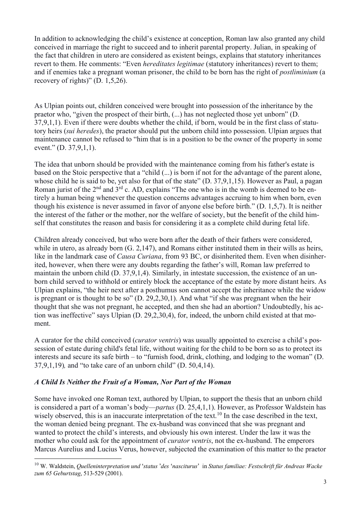In addition to acknowledging the child's existence at conception, Roman law also granted any child conceived in marriage the right to succeed and to inherit parental property. Julian, in speaking of the fact that children in utero are considered as existent beings, explains that statutory inheritances revert to them. He comments: "Even *hereditates legitimae* (statutory inheritances) revert to them; and if enemies take a pregnant woman prisoner, the child to be born has the right of *postliminium* (a recovery of rights)" (D. 1,5,26).

As Ulpian points out, children conceived were brought into possession of the inheritance by the praetor who, "given the prospect of their birth, (...) has not neglected those yet unborn" (D. 37,9,1,1). Even if there were doubts whether the child, if born, would be in the first class of statutory heirs (*sui heredes*), the praetor should put the unborn child into possession. Ulpian argues that maintenance cannot be refused to "him that is in a position to be the owner of the property in some event." (D. 37,9,1,1).

The idea that unborn should be provided with the maintenance coming from his father's estate is based on the Stoic perspective that a "child (...) is born if not for the advantage of the parent alone, whose child he is said to be, yet also for that of the state" (D. 37,9,1,15). However as Paul, a pagan Roman jurist of the  $2<sup>nd</sup>$  and  $3<sup>rd</sup>$  c. AD, explains "The one who is in the womb is deemed to be entirely a human being whenever the question concerns advantages accruing to him when born, even though his existence is never assumed in favor of anyone else before birth." (D. 1,5,7). It is neither the interest of the father or the mother, nor the welfare of society, but the benefit of the child himself that constitutes the reason and basis for considering it as a complete child during fetal life.

Children already conceived, but who were born after the death of their fathers were considered, while in utero, as already born (G. 2,147), and Romans either instituted them in their wills as heirs, like in the landmark case of *Causa Curiana*, from 93 BC, or disinherited them. Even when disinherited, however, when there were any doubts regarding the father's will, Roman law preferred to maintain the unborn child (D. 37,9,1,4). Similarly, in intestate succession, the existence of an unborn child served to withhold or entirely block the acceptance of the estate by more distant heirs. As Ulpian explains, "the heir next after a posthumus son cannot accept the inheritance while the widow is pregnant or is thought to be so" (D. 29,2,30,1). And what "if she was pregnant when the heir thought that she was not pregnant, he accepted, and then she had an abortion? Undoubtedly, his action was ineffective" says Ulpian (D. 29,2,30,4), for, indeed, the unborn child existed at that moment.

A curator for the child conceived (*curator ventris*) was usually appointed to exercise a child's possession of estate during child's fetal life, without waiting for the child to be born so as to protect its interests and secure its safe birth – to "furnish food, drink, clothing, and lodging to the woman" (D. 37,9,1,19)*,* and "to take care of an unborn child" (D. 50,4,14).

## *A Child Is Neither the Fruit of a Woman, Nor Part of the Woman*

Some have invoked one Roman text, authored by Ulpian, to support the thesis that an unborn child is considered a part of a woman's body—*partus* (D. 25,4,1,1). However, as Professor Waldstein has wisely observed, this is an inaccurate interpretation of the text.<sup>10</sup> In the case described in the text, the woman denied being pregnant. The ex-husband was convinced that she was pregnant and wanted to protect the child's interests, and obviously his own interest. Under the law it was the mother who could ask for the appointment of *curator ventris*, not the ex-husband. The emperors Marcus Aurelius and Lucius Verus, however, subjected the examination of this matter to the praetor

<sup>10</sup> W. Waldstein, *Quelleninterpretation und* '*status* '*des* '*nasciturus*' in *Status familiae: Festschrift für Andreas Wacke zum 65 Geburtstag*, 513-529 (2001).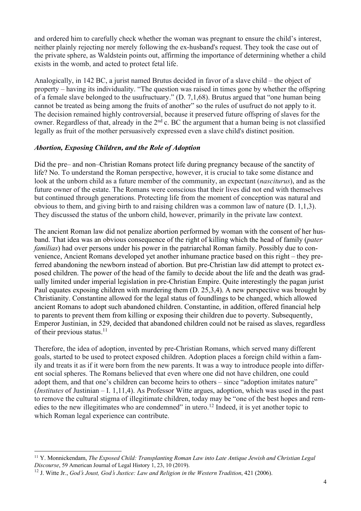and ordered him to carefully check whether the woman was pregnant to ensure the child's interest, neither plainly rejecting nor merely following the ex-husband's request. They took the case out of the private sphere, as Waldstein points out, affirming the importance of determining whether a child exists in the womb, and acted to protect fetal life.

Analogically, in 142 BC, a jurist named Brutus decided in favor of a slave child – the object of property – having its individuality. "The question was raised in times gone by whether the offspring of a female slave belonged to the usufructuary." (D. 7,1,68). Brutus argued that "one human being cannot be treated as being among the fruits of another" so the rules of usufruct do not apply to it. The decision remained highly controversial, because it preserved future offspring of slaves for the owner. Regardless of that, already in the 2<sup>nd</sup> c. BC the argument that a human being is not classified legally as fruit of the mother persuasively expressed even a slave child's distinct position.

### *Abortion, Exposing Children, and the Role of Adoption*

Did the pre– and non–Christian Romans protect life during pregnancy because of the sanctity of life? No. To understand the Roman perspective, however, it is crucial to take some distance and look at the unborn child as a future member of the community, an expectant (*nasciturus*), and as the future owner of the estate. The Romans were conscious that their lives did not end with themselves but continued through generations. Protecting life from the moment of conception was natural and obvious to them, and giving birth to and raising children was a common law of nature (D. 1,1,3). They discussed the status of the unborn child, however, primarily in the private law context.

The ancient Roman law did not penalize abortion performed by woman with the consent of her husband. That idea was an obvious consequence of the right of killing which the head of family (*pater familias*) had over persons under his power in the patriarchal Roman family. Possibly due to convenience, Ancient Romans developed yet another inhumane practice based on this right – they preferred abandoning the newborn instead of abortion. But pre-Christian law did attempt to protect exposed children. The power of the head of the family to decide about the life and the death was gradually limited under imperial legislation in pre-Christian Empire. Quite interestingly the pagan jurist Paul equates exposing children with murdering them (D. 25,3,4). A new perspective was brought by Christianity. Constantine allowed for the legal status of foundlings to be changed, which allowed ancient Romans to adopt such abandoned children. Constantine, in addition, offered financial help to parents to prevent them from killing or exposing their children due to poverty. Subsequently, Emperor Justinian, in 529, decided that abandoned children could not be raised as slaves, regardless of their previous status. $11$ 

Therefore, the idea of adoption, invented by pre-Christian Romans, which served many different goals, started to be used to protect exposed children. Adoption places a foreign child within a family and treats it as if it were born from the new parents. It was a way to introduce people into different social spheres. The Romans believed that even where one did not have children, one could adopt them, and that one's children can become heirs to others – since "adoption imitates nature" (*Institutes* of Justinian – I. 1,11,4). As Professor Witte argues, adoption, which was used in the past to remove the cultural stigma of illegitimate children, today may be "one of the best hopes and remedies to the new illegitimates who are condemned" in utero.<sup>12</sup> Indeed, it is yet another topic to which Roman legal experience can contribute.

<sup>11</sup> Y. Monnickendam, *The Exposed Child: Transplanting Roman Law into Late Antique Jewish and Christian Legal Discourse*, 59 American Journal of Legal History 1, 23, 10 (2019).

<sup>&</sup>lt;sup>12</sup> J. Witte Jr., *God's Joust, God's Justice: Law and Religion in the Western Tradition, 421 (2006).*